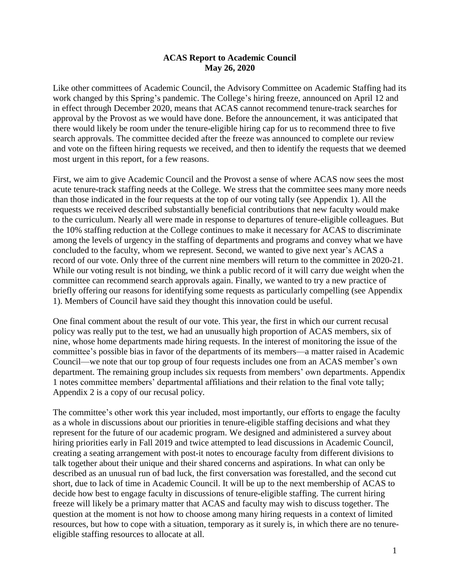## **ACAS Report to Academic Council May 26, 2020**

Like other committees of Academic Council, the Advisory Committee on Academic Staffing had its work changed by this Spring's pandemic. The College's hiring freeze, announced on April 12 and in effect through December 2020, means that ACAS cannot recommend tenure-track searches for approval by the Provost as we would have done. Before the announcement, it was anticipated that there would likely be room under the tenure-eligible hiring cap for us to recommend three to five search approvals. The committee decided after the freeze was announced to complete our review and vote on the fifteen hiring requests we received, and then to identify the requests that we deemed most urgent in this report, for a few reasons.

First, we aim to give Academic Council and the Provost a sense of where ACAS now sees the most acute tenure-track staffing needs at the College. We stress that the committee sees many more needs than those indicated in the four requests at the top of our voting tally (see Appendix 1). All the requests we received described substantially beneficial contributions that new faculty would make to the curriculum. Nearly all were made in response to departures of tenure-eligible colleagues. But the 10% staffing reduction at the College continues to make it necessary for ACAS to discriminate among the levels of urgency in the staffing of departments and programs and convey what we have concluded to the faculty, whom we represent. Second, we wanted to give next year's ACAS a record of our vote. Only three of the current nine members will return to the committee in 2020-21. While our voting result is not binding, we think a public record of it will carry due weight when the committee can recommend search approvals again. Finally, we wanted to try a new practice of briefly offering our reasons for identifying some requests as particularly compelling (see Appendix 1). Members of Council have said they thought this innovation could be useful.

One final comment about the result of our vote. This year, the first in which our current recusal policy was really put to the test, we had an unusually high proportion of ACAS members, six of nine, whose home departments made hiring requests. In the interest of monitoring the issue of the committee's possible bias in favor of the departments of its members—a matter raised in Academic Council—we note that our top group of four requests includes one from an ACAS member's own department. The remaining group includes six requests from members' own departments. Appendix 1 notes committee members' departmental affiliations and their relation to the final vote tally; Appendix 2 is a copy of our recusal policy.

The committee's other work this year included, most importantly, our efforts to engage the faculty as a whole in discussions about our priorities in tenure-eligible staffing decisions and what they represent for the future of our academic program. We designed and administered a survey about hiring priorities early in Fall 2019 and twice attempted to lead discussions in Academic Council, creating a seating arrangement with post-it notes to encourage faculty from different divisions to talk together about their unique and their shared concerns and aspirations. In what can only be described as an unusual run of bad luck, the first conversation was forestalled, and the second cut short, due to lack of time in Academic Council. It will be up to the next membership of ACAS to decide how best to engage faculty in discussions of tenure-eligible staffing. The current hiring freeze will likely be a primary matter that ACAS and faculty may wish to discuss together. The question at the moment is not how to choose among many hiring requests in a context of limited resources, but how to cope with a situation, temporary as it surely is, in which there are no tenureeligible staffing resources to allocate at all.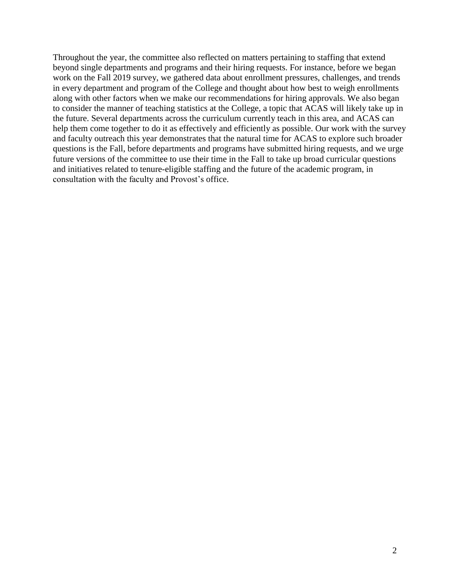Throughout the year, the committee also reflected on matters pertaining to staffing that extend beyond single departments and programs and their hiring requests. For instance, before we began work on the Fall 2019 survey, we gathered data about enrollment pressures, challenges, and trends in every department and program of the College and thought about how best to weigh enrollments along with other factors when we make our recommendations for hiring approvals. We also began to consider the manner of teaching statistics at the College, a topic that ACAS will likely take up in the future. Several departments across the curriculum currently teach in this area, and ACAS can help them come together to do it as effectively and efficiently as possible. Our work with the survey and faculty outreach this year demonstrates that the natural time for ACAS to explore such broader questions is the Fall, before departments and programs have submitted hiring requests, and we urge future versions of the committee to use their time in the Fall to take up broad curricular questions and initiatives related to tenure-eligible staffing and the future of the academic program, in consultation with the faculty and Provost's office.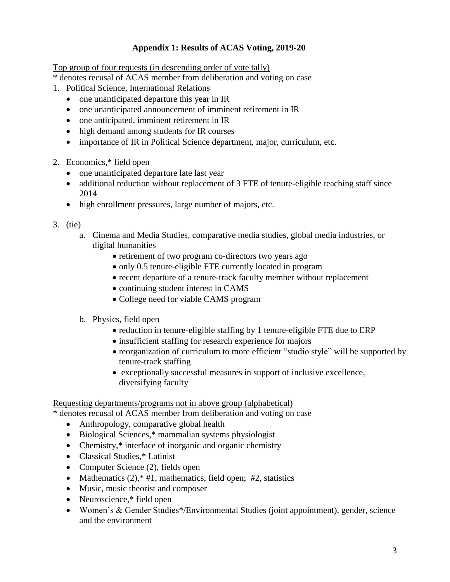# **Appendix 1: Results of ACAS Voting, 2019-20**

Top group of four requests (in descending order of vote tally)

- \* denotes recusal of ACAS member from deliberation and voting on case
- 1. Political Science, International Relations
	- one unanticipated departure this year in IR
	- one unanticipated announcement of imminent retirement in IR
	- one anticipated, imminent retirement in IR
	- high demand among students for IR courses
	- importance of IR in Political Science department, major, curriculum, etc.
- 2. Economics,\* field open
	- one unanticipated departure late last year
	- additional reduction without replacement of 3 FTE of tenure-eligible teaching staff since 2014
	- high enrollment pressures, large number of majors, etc.
- 3. (tie)
	- a. Cinema and Media Studies, comparative media studies, global media industries, or digital humanities
		- retirement of two program co-directors two years ago
		- only 0.5 tenure-eligible FTE currently located in program
		- recent departure of a tenure-track faculty member without replacement
		- continuing student interest in CAMS
		- College need for viable CAMS program
	- b. Physics, field open
		- reduction in tenure-eligible staffing by 1 tenure-eligible FTE due to ERP
		- insufficient staffing for research experience for majors
		- reorganization of curriculum to more efficient "studio style" will be supported by tenure-track staffing
		- exceptionally successful measures in support of inclusive excellence, diversifying faculty

#### Requesting departments/programs not in above group (alphabetical)

\* denotes recusal of ACAS member from deliberation and voting on case

- Anthropology, comparative global health
- Biological Sciences,\* mammalian systems physiologist
- Chemistry,\* interface of inorganic and organic chemistry
- Classical Studies,\* Latinist
- Computer Science (2), fields open
- Mathematics  $(2)$ ,  $*$  #1, mathematics, field open; #2, statistics
- Music, music theorist and composer
- Neuroscience,\* field open
- Women's & Gender Studies\*/Environmental Studies (joint appointment), gender, science and the environment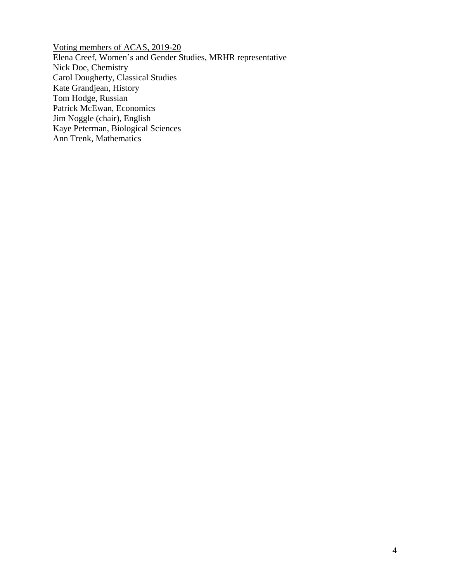Voting members of ACAS, 2019-20 Elena Creef, Women's and Gender Studies, MRHR representative Nick Doe, Chemistry Carol Dougherty, Classical Studies Kate Grandjean, History Tom Hodge, Russian Patrick McEwan, Economics Jim Noggle (chair), English Kaye Peterman, Biological Sciences Ann Trenk, Mathematics